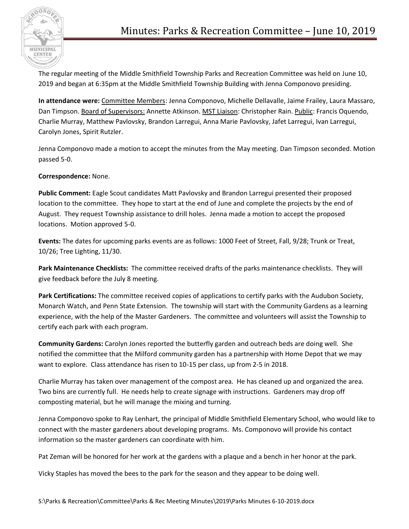

The regular meeting of the Middle Smithfield Township Parks and Recreation Committee was held on June 10, 2019 and began at 6:35pm at the Middle Smithfield Township Building with Jenna Componovo presiding.

**In attendance were:** Committee Members: Jenna Componovo, Michelle Dellavalle, Jaime Frailey, Laura Massaro, Dan Timpson. Board of Supervisors: Annette Atkinson. MST Liaison: Christopher Rain. Public: Francis Oquendo, Charlie Murray, Matthew Pavlovsky, Brandon Larregui, Anna Marie Pavlovsky, Jafet Larregui, Ivan Larregui, Carolyn Jones, Spirit Rutzler.

Jenna Componovo made a motion to accept the minutes from the May meeting. Dan Timpson seconded. Motion passed 5-0.

## **Correspondence:** None.

**Public Comment:** Eagle Scout candidates Matt Pavlovsky and Brandon Larregui presented their proposed location to the committee. They hope to start at the end of June and complete the projects by the end of August. They request Township assistance to drill holes. Jenna made a motion to accept the proposed locations. Motion approved 5-0.

**Events:** The dates for upcoming parks events are as follows: 1000 Feet of Street, Fall, 9/28; Trunk or Treat, 10/26; Tree Lighting, 11/30.

**Park Maintenance Checklists:** The committee received drafts of the parks maintenance checklists. They will give feedback before the July 8 meeting.

**Park Certifications:** The committee received copies of applications to certify parks with the Audubon Society, Monarch Watch, and Penn State Extension. The township will start with the Community Gardens as a learning experience, with the help of the Master Gardeners. The committee and volunteers will assist the Township to certify each park with each program.

**Community Gardens:** Carolyn Jones reported the butterfly garden and outreach beds are doing well. She notified the committee that the Milford community garden has a partnership with Home Depot that we may want to explore. Class attendance has risen to 10-15 per class, up from 2-5 in 2018.

Charlie Murray has taken over management of the compost area. He has cleaned up and organized the area. Two bins are currently full. He needs help to create signage with instructions. Gardeners may drop off composting material, but he will manage the mixing and turning.

Jenna Componovo spoke to Ray Lenhart, the principal of Middle Smithfield Elementary School, who would like to connect with the master gardeners about developing programs. Ms. Componovo will provide his contact information so the master gardeners can coordinate with him.

Pat Zeman will be honored for her work at the gardens with a plaque and a bench in her honor at the park.

Vicky Staples has moved the bees to the park for the season and they appear to be doing well.